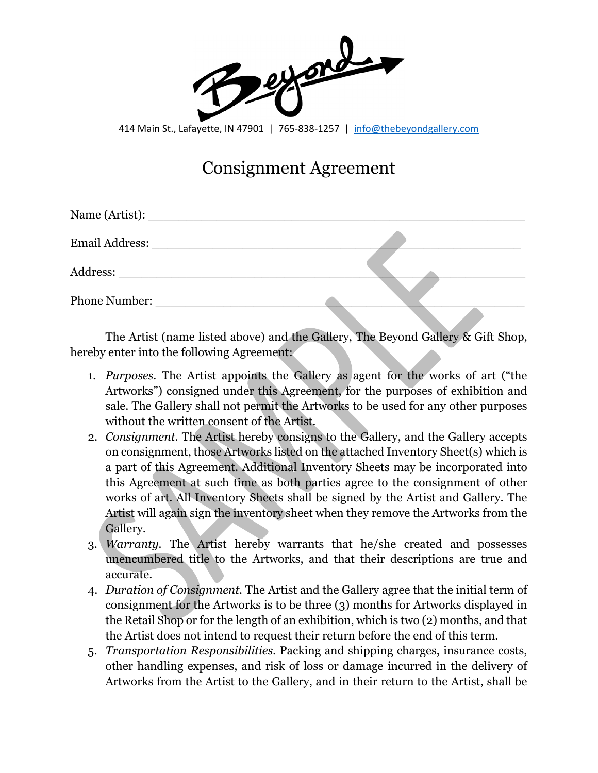esport

414 Main St., Lafayette, IN 47901 | 765-838-1257 | [info@thebeyondgallery.com](mailto:info@thebeyondgallery.com)

## Consignment Agreement

| Phone Number: |  |
|---------------|--|
|               |  |

The Artist (name listed above) and the Gallery, The Beyond Gallery & Gift Shop, hereby enter into the following Agreement:

- 1. *Purposes.* The Artist appoints the Gallery as agent for the works of art ("the Artworks") consigned under this Agreement, for the purposes of exhibition and sale. The Gallery shall not permit the Artworks to be used for any other purposes without the written consent of the Artist.
- 2. *Consignment.* The Artist hereby consigns to the Gallery, and the Gallery accepts on consignment, those Artworks listed on the attached Inventory Sheet(s) which is a part of this Agreement. Additional Inventory Sheets may be incorporated into this Agreement at such time as both parties agree to the consignment of other works of art. All Inventory Sheets shall be signed by the Artist and Gallery. The Artist will again sign the inventory sheet when they remove the Artworks from the Gallery.
- 3. *Warranty.* The Artist hereby warrants that he/she created and possesses unencumbered title to the Artworks, and that their descriptions are true and accurate.
- 4. *Duration of Consignment.* The Artist and the Gallery agree that the initial term of consignment for the Artworks is to be three (3) months for Artworks displayed in the Retail Shop or for the length of an exhibition, which is two (2) months, and that the Artist does not intend to request their return before the end of this term.
- 5. *Transportation Responsibilities.* Packing and shipping charges, insurance costs, other handling expenses, and risk of loss or damage incurred in the delivery of Artworks from the Artist to the Gallery, and in their return to the Artist, shall be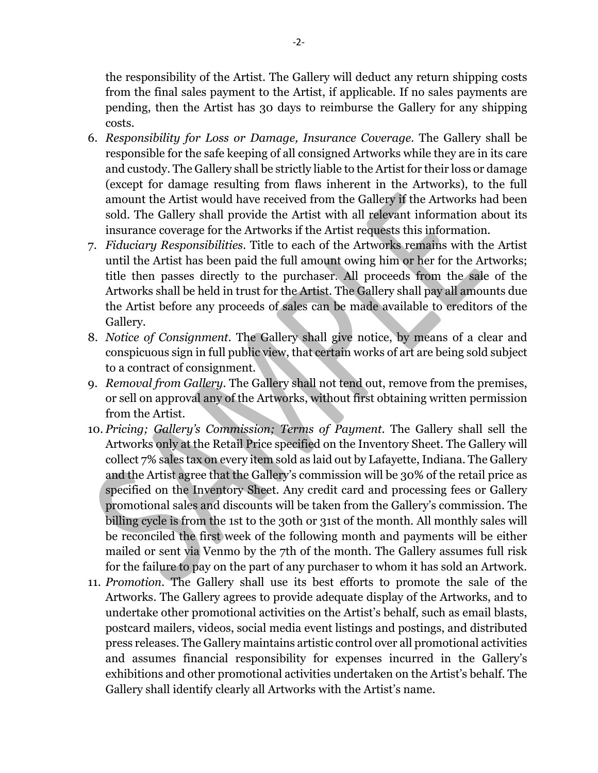the responsibility of the Artist. The Gallery will deduct any return shipping costs from the final sales payment to the Artist, if applicable. If no sales payments are pending, then the Artist has 30 days to reimburse the Gallery for any shipping costs.

- 6. *Responsibility for Loss or Damage, Insurance Coverage.* The Gallery shall be responsible for the safe keeping of all consigned Artworks while they are in its care and custody. The Gallery shall be strictly liable to the Artist for their loss or damage (except for damage resulting from flaws inherent in the Artworks), to the full amount the Artist would have received from the Gallery if the Artworks had been sold. The Gallery shall provide the Artist with all relevant information about its insurance coverage for the Artworks if the Artist requests this information.
- 7. *Fiduciary Responsibilities.* Title to each of the Artworks remains with the Artist until the Artist has been paid the full amount owing him or her for the Artworks; title then passes directly to the purchaser. All proceeds from the sale of the Artworks shall be held in trust for the Artist. The Gallery shall pay all amounts due the Artist before any proceeds of sales can be made available to creditors of the Gallery.
- 8. *Notice of Consignment.* The Gallery shall give notice, by means of a clear and conspicuous sign in full public view, that certain works of art are being sold subject to a contract of consignment.
- 9. *Removal from Gallery.* The Gallery shall not tend out, remove from the premises, or sell on approval any of the Artworks, without first obtaining written permission from the Artist.
- 10. *Pricing; Gallery's Commission; Terms of Payment.* The Gallery shall sell the Artworks only at the Retail Price specified on the Inventory Sheet. The Gallery will collect 7% sales tax on every item sold as laid out by Lafayette, Indiana. The Gallery and the Artist agree that the Gallery's commission will be 30% of the retail price as specified on the Inventory Sheet. Any credit card and processing fees or Gallery promotional sales and discounts will be taken from the Gallery's commission. The billing cycle is from the 1st to the 30th or 31st of the month. All monthly sales will be reconciled the first week of the following month and payments will be either mailed or sent via Venmo by the 7th of the month. The Gallery assumes full risk for the failure to pay on the part of any purchaser to whom it has sold an Artwork.
- 11. *Promotion.* The Gallery shall use its best efforts to promote the sale of the Artworks. The Gallery agrees to provide adequate display of the Artworks, and to undertake other promotional activities on the Artist's behalf, such as email blasts, postcard mailers, videos, social media event listings and postings, and distributed press releases. The Gallery maintains artistic control over all promotional activities and assumes financial responsibility for expenses incurred in the Gallery's exhibitions and other promotional activities undertaken on the Artist's behalf. The Gallery shall identify clearly all Artworks with the Artist's name.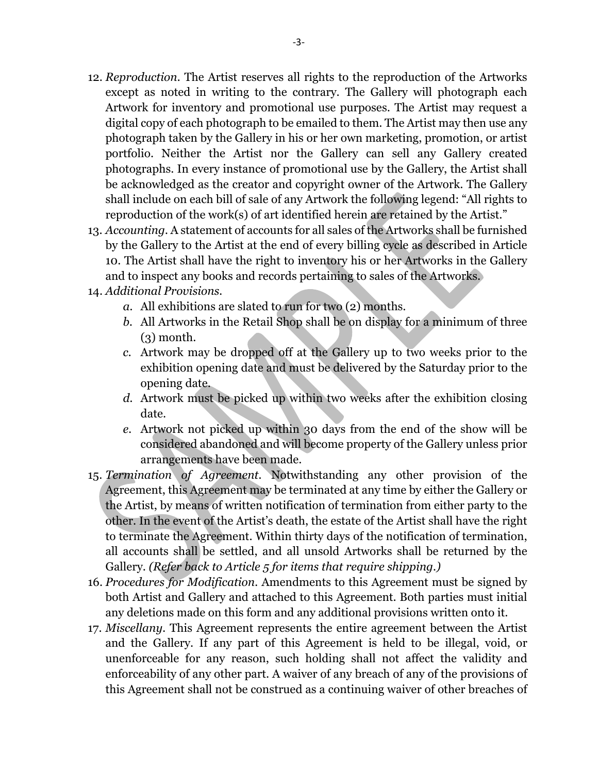- 12. *Reproduction.* The Artist reserves all rights to the reproduction of the Artworks except as noted in writing to the contrary. The Gallery will photograph each Artwork for inventory and promotional use purposes. The Artist may request a digital copy of each photograph to be emailed to them. The Artist may then use any photograph taken by the Gallery in his or her own marketing, promotion, or artist portfolio. Neither the Artist nor the Gallery can sell any Gallery created photographs. In every instance of promotional use by the Gallery, the Artist shall be acknowledged as the creator and copyright owner of the Artwork. The Gallery shall include on each bill of sale of any Artwork the following legend: "All rights to reproduction of the work(s) of art identified herein are retained by the Artist."
- 13. *Accounting.* A statement of accounts for all sales of the Artworks shall be furnished by the Gallery to the Artist at the end of every billing cycle as described in Article 10. The Artist shall have the right to inventory his or her Artworks in the Gallery and to inspect any books and records pertaining to sales of the Artworks.
- 14. *Additional Provisions.*
	- *a.* All exhibitions are slated to run for two (2) months.
	- *b.* All Artworks in the Retail Shop shall be on display for a minimum of three  $(3)$  month.
	- *c.* Artwork may be dropped off at the Gallery up to two weeks prior to the exhibition opening date and must be delivered by the Saturday prior to the opening date.
	- *d.* Artwork must be picked up within two weeks after the exhibition closing date.
	- *e.* Artwork not picked up within 30 days from the end of the show will be considered abandoned and will become property of the Gallery unless prior arrangements have been made.
- 15. *Termination of Agreement.* Notwithstanding any other provision of the Agreement, this Agreement may be terminated at any time by either the Gallery or the Artist, by means of written notification of termination from either party to the other. In the event of the Artist's death, the estate of the Artist shall have the right to terminate the Agreement. Within thirty days of the notification of termination, all accounts shall be settled, and all unsold Artworks shall be returned by the Gallery. *(Refer back to Article 5 for items that require shipping.)*
- 16. *Procedures for Modification.* Amendments to this Agreement must be signed by both Artist and Gallery and attached to this Agreement. Both parties must initial any deletions made on this form and any additional provisions written onto it.
- 17. *Miscellany.* This Agreement represents the entire agreement between the Artist and the Gallery. If any part of this Agreement is held to be illegal, void, or unenforceable for any reason, such holding shall not affect the validity and enforceability of any other part. A waiver of any breach of any of the provisions of this Agreement shall not be construed as a continuing waiver of other breaches of